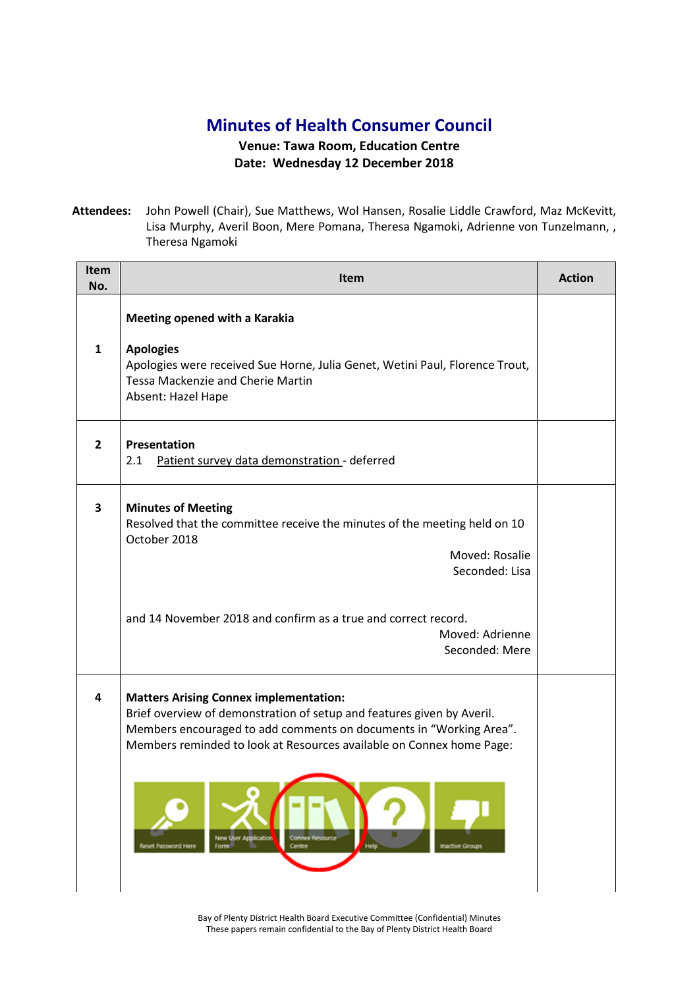## **Minutes of Health Consumer Council**

## **Venue: Tawa Room, Education Centre Date: Wednesday 12 December 2018**

**Attendees:** John Powell (Chair), Sue Matthews, Wol Hansen, Rosalie Liddle Crawford, Maz McKevitt, Lisa Murphy, Averil Boon, Mere Pomana, Theresa Ngamoki, Adrienne von Tunzelmann, , Theresa Ngamoki

| Item<br>No.  | <b>Item</b>                                                                                                                                                                                                                                                                                                                                                                                        | <b>Action</b> |
|--------------|----------------------------------------------------------------------------------------------------------------------------------------------------------------------------------------------------------------------------------------------------------------------------------------------------------------------------------------------------------------------------------------------------|---------------|
| 1            | Meeting opened with a Karakia<br><b>Apologies</b><br>Apologies were received Sue Horne, Julia Genet, Wetini Paul, Florence Trout,<br><b>Tessa Mackenzie and Cherie Martin</b><br>Absent: Hazel Hape                                                                                                                                                                                                |               |
| $\mathbf{2}$ | <b>Presentation</b><br>Patient survey data demonstration - deferred<br>2.1                                                                                                                                                                                                                                                                                                                         |               |
| 3            | <b>Minutes of Meeting</b><br>Resolved that the committee receive the minutes of the meeting held on 10<br>October 2018<br>Moved: Rosalie<br>Seconded: Lisa<br>and 14 November 2018 and confirm as a true and correct record.<br>Moved: Adrienne<br>Seconded: Mere                                                                                                                                  |               |
| 4            | <b>Matters Arising Connex implementation:</b><br>Brief overview of demonstration of setup and features given by Averil.<br>Members encouraged to add comments on documents in "Working Area".<br>Members reminded to look at Resources available on Connex home Page:<br><b>New User Apolication</b><br>Connex Resource<br>Help<br>Reset Password Here<br>Form<br>Centre<br><b>Inactive Groups</b> |               |

Bay of Plenty District Health Board Executive Committee (Confidential) Minutes These papers remain confidential to the Bay of Plenty District Health Board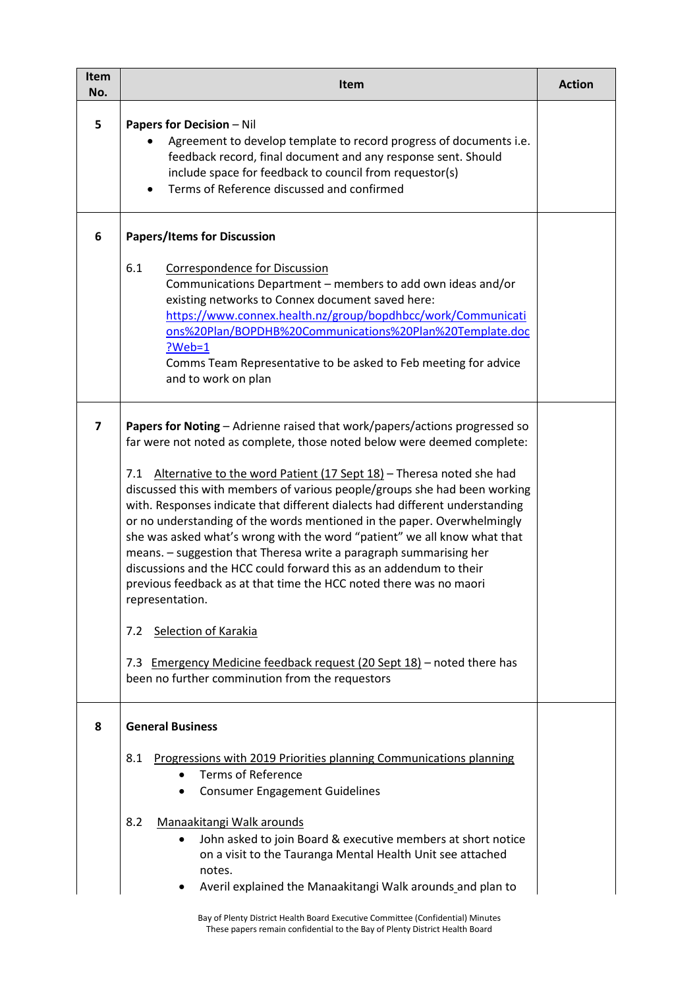| Item<br>No. | Item                                                                                                                                                                                                                                                                                                                                                                                                                                                                                                                                                                                                                                                                                                                                                                                                                                                                                                                                                      | <b>Action</b> |
|-------------|-----------------------------------------------------------------------------------------------------------------------------------------------------------------------------------------------------------------------------------------------------------------------------------------------------------------------------------------------------------------------------------------------------------------------------------------------------------------------------------------------------------------------------------------------------------------------------------------------------------------------------------------------------------------------------------------------------------------------------------------------------------------------------------------------------------------------------------------------------------------------------------------------------------------------------------------------------------|---------------|
| 5           | <b>Papers for Decision - Nil</b><br>Agreement to develop template to record progress of documents i.e.<br>feedback record, final document and any response sent. Should<br>include space for feedback to council from requestor(s)<br>Terms of Reference discussed and confirmed                                                                                                                                                                                                                                                                                                                                                                                                                                                                                                                                                                                                                                                                          |               |
| 6           | <b>Papers/Items for Discussion</b>                                                                                                                                                                                                                                                                                                                                                                                                                                                                                                                                                                                                                                                                                                                                                                                                                                                                                                                        |               |
|             | 6.1<br><b>Correspondence for Discussion</b><br>Communications Department - members to add own ideas and/or<br>existing networks to Connex document saved here:<br>https://www.connex.health.nz/group/bopdhbcc/work/Communicati<br>ons%20Plan/BOPDHB%20Communications%20Plan%20Template.doc<br>$?Web=1$<br>Comms Team Representative to be asked to Feb meeting for advice<br>and to work on plan                                                                                                                                                                                                                                                                                                                                                                                                                                                                                                                                                          |               |
| 7           | Papers for Noting - Adrienne raised that work/papers/actions progressed so<br>far were not noted as complete, those noted below were deemed complete:<br>Alternative to the word Patient (17 Sept 18) - Theresa noted she had<br>7.1<br>discussed this with members of various people/groups she had been working<br>with. Responses indicate that different dialects had different understanding<br>or no understanding of the words mentioned in the paper. Overwhelmingly<br>she was asked what's wrong with the word "patient" we all know what that<br>means. - suggestion that Theresa write a paragraph summarising her<br>discussions and the HCC could forward this as an addendum to their<br>previous feedback as at that time the HCC noted there was no maori<br>representation.<br>Selection of Karakia<br>7.2<br>7.3 Emergency Medicine feedback request (20 Sept 18) - noted there has<br>been no further comminution from the requestors |               |
| 8           | <b>General Business</b><br>8.1<br>Progressions with 2019 Priorities planning Communications planning<br><b>Terms of Reference</b><br><b>Consumer Engagement Guidelines</b><br>8.2<br>Manaakitangi Walk arounds<br>John asked to join Board & executive members at short notice<br>on a visit to the Tauranga Mental Health Unit see attached<br>notes.<br>Averil explained the Manaakitangi Walk arounds and plan to                                                                                                                                                                                                                                                                                                                                                                                                                                                                                                                                      |               |
|             | Bay of Plenty District Health Board Executive Committee (Confidential) Minutes<br>These papers remain confidential to the Bay of Plenty District Health Board                                                                                                                                                                                                                                                                                                                                                                                                                                                                                                                                                                                                                                                                                                                                                                                             |               |